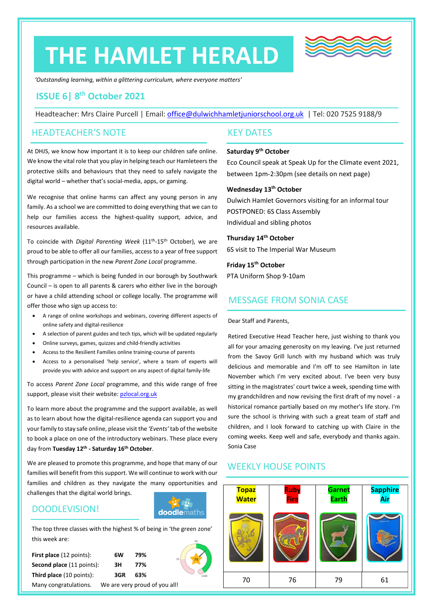# **THE HAMLET HERALD**



*'Outstanding learning, within a glittering curriculum, where everyone matters'*

#### **ISSUE 6| 8 th October 2021**

Headteacher: Mrs Claire Purcell | Email: [office@dulwichhamletjuniorschool.org.uk](mailto:office@dulwichhamletjuniorschool.org.uk) | Tel: 020 7525 9188/9

#### HEADTEACHER'S NOTE

At DHJS, we know how important it is to keep our children safe online. We know the vital role that you play in helping teach our Hamleteers the protective skills and behaviours that they need to safely navigate the digital world – whether that's social-media, apps, or gaming.

We recognise that online harms can affect any young person in any family. As a school we are committed to doing everything that we can to help our families access the highest-quality support, advice, and resources available.

To coincide with *Digital Parenting Week* (11th -15th October), we are proud to be able to offer all our families, access to a year of free support through participation in the new *Parent Zone Local* programme.

This programme – which is being funded in our borough by Southwark Council – is open to all parents & carers who either live in the borough or have a child attending school or college locally. The programme will offer those who sign up access to:

- A range of online workshops and webinars, covering different aspects of online safety and digital-resilience
- A selection of parent guides and tech tips, which will be updated regularly
- Online surveys, games, quizzes and child-friendly activities
- Access to the Resilient Families online training-course of parents
- Access to a personalised 'help service', where a team of experts will provide you with advice and support on any aspect of digital family-life

To access *Parent Zone Local* programme, and this wide range of free support, please visit their website[: pzlocal.org.uk](http://www.pzlocal.org.uk/)

To learn more about the programme and the support available, as well as to learn about how the digital-resilience agenda can support you and your family to stay safe online, please visit the *'Events'* tab of the website to book a place on one of the introductory webinars. These place every day from **Tuesday 12th - Saturday 16th October**.

We are pleased to promote this programme, and hope that many of our families will benefit from this support. We will continue to work with our families and children as they navigate the many opportunities and challenges that the digital world brings.

#### DOODLEVISION!



The top three classes with the highest % of being in 'the green zone' this week are:

| <b>First place</b> (12 points):  | 6W  | 79%                           | 25 |
|----------------------------------|-----|-------------------------------|----|
| <b>Second place</b> (11 points): | зн  | 77%                           |    |
| Third place (10 points):         | 3GR | 63%                           |    |
| Many congratulations.            |     | We are very proud of you all! |    |

**Wednesday 13th October**

Dulwich Hamlet Governors visiting for an informal tour POSTPONED: 6S Class Assembly Individual and sibling photos

between 1pm-2:30pm (see details on next page)

Eco Council speak at Speak Up for the Climate event 2021,

**Thursday 14th October** 6S visit to The Imperial War Museum

**Friday 15th October**

KEY DATES

**Saturday 9th October**

PTA Uniform Shop 9-10am

#### MESSAGE FROM SONIA CASE

Dear Staff and Parents,

Retired Executive Head Teacher here, just wishing to thank you all for your amazing generosity on my leaving. I've just returned from the Savoy Grill lunch with my husband which was truly delicious and memorable and I'm off to see Hamilton in late November which I'm very excited about. I've been very busy sitting in the magistrates' court twice a week, spending time with my grandchildren and now revising the first draft of my novel - a historical romance partially based on my mother's life story. I'm sure the school is thriving with such a great team of staff and children, and I look forward to catching up with Claire in the coming weeks. Keep well and safe, everybody and thanks again. Sonia Case

#### WEEKLY HOUSE POINTS

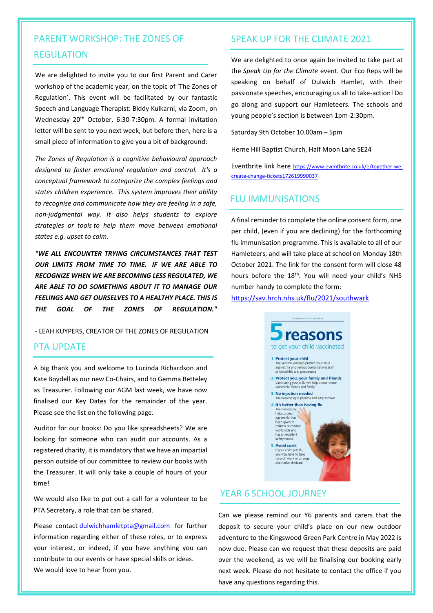### PARENT WORKSHOP: THE ZONES OF REGULATION

We are delighted to invite you to our first Parent and Carer workshop of the academic year, on the topic of 'The Zones of Regulation'. This event will be facilitated by our fantastic Speech and Language Therapist: Biddy Kulkarni, via Zoom, on Wednesday 20th October, 6:30-7:30pm. A formal invitation letter will be sent to you next week, but before then, here is a small piece of information to give you a bit of background:

*The Zones of Regulation is a cognitive behavioural approach designed to foster emotional regulation and control. It's a conceptual framework to categorize the complex feelings and states children experience. This system improves their ability to recognise and communicate how they are feeling in a safe, non-judgmental way. It also helps students to explore strategies or tools to help them move between emotional states e.g. upset to calm.*

*"WE ALL ENCOUNTER TRYING CIRCUMSTANCES THAT TEST OUR LIMITS FROM TIME TO TIME. IF WE ARE ABLE TO RECOGNIZE WHEN WE ARE BECOMING LESS REGULATED, WE ARE ABLE TO DO SOMETHING ABOUT IT TO MANAGE OUR FEELINGS AND GET OURSELVES TO A HEALTHY PLACE. THIS IS THE GOAL OF THE ZONES OF REGULATION."*

- LEAH KUYPERS, CREATOR OF THE ZONES OF REGULATION

#### PTA UPDATE

A big thank you and welcome to Lucinda Richardson and Kate Boydell as our new Co-Chairs, and to Gemma Betteley as Treasurer. Following our AGM last week, we have now finalised our Key Dates for the remainder of the year. Please see the list on the following page.

Auditor for our books: Do you like spreadsheets? We are looking for someone who can audit our accounts. As a registered charity, it is mandatory that we have an impartial person outside of our committee to review our books with the Treasurer. It will only take a couple of hours of your time!

We would also like to put out a call for a volunteer to be PTA Secretary, a role that can be shared.

Please contact [dulwichhamletpta@gmail.com](mailto:dulwichhamletpta@gmail.com) for further information regarding either of these roles, or to express your interest, or indeed, if you have anything you can contribute to our events or have special skills or ideas. We would love to hear from you.

#### SPEAK UP FOR THE CLIMATE 2021

We are delighted to once again be invited to take part at the *Speak Up for the Climate* event. Our Eco Reps will be speaking on behalf of Dulwich Hamlet, with their passionate speeches, encouraging us all to take-action! Do go along and support our Hamleteers. The schools and young people's section is between 1pm-2:30pm.

Saturday 9th October 10.00am – 5pm

Herne Hill Baptist Church, Half Moon Lane SE24

Eventbrite link here [https://www.eventbrite.co.uk/e/together-we](https://www.eventbrite.co.uk/e/together-we-create-change-tickets172619990037)[create-change-tickets172619990037](https://www.eventbrite.co.uk/e/together-we-create-change-tickets172619990037)

#### FLU IMMUNISATIONS

A final reminder to complete the online consent form, one per child, (even if you are declining) for the forthcoming flu immunisation programme. This is available to all of our Hamleteers, and will take place at school on Monday 18th October 2021. The link for the consent form will close 48 hours before the 18<sup>th</sup>. You will need your child's NHS number handy to complete the form:

<https://sav.hrch.nhs.uk/flu/2021/southwark>



#### YEAR 6 SCHOOL JOURNEY

Can we please remind our Y6 parents and carers that the deposit to secure your child's place on our new outdoor adventure to the Kingswood Green Park Centre in May 2022 is now due. Please can we request that these deposits are paid over the weekend, as we will be finalising our booking early next week. Please do not hesitate to contact the office if you have any questions regarding this.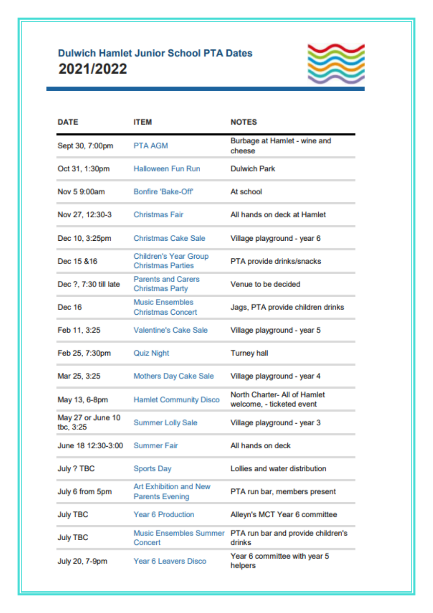## **Dulwich Hamlet Junior School PTA Dates** 2021/2022



| <b>DATE</b>                    | <b>ITEM</b>                                         | <b>NOTES</b>                                              |  |
|--------------------------------|-----------------------------------------------------|-----------------------------------------------------------|--|
| Sept 30, 7:00pm                | <b>PTA AGM</b>                                      | Burbage at Hamlet - wine and<br>cheese                    |  |
| Oct 31, 1:30pm                 | <b>Halloween Fun Run</b>                            | <b>Dulwich Park</b>                                       |  |
| Nov 5 9:00am                   | Bonfire 'Bake-Off'                                  | At school                                                 |  |
| Nov 27, 12:30-3                | <b>Christmas Fair</b>                               | All hands on deck at Hamlet                               |  |
| Dec 10, 3:25pm                 | <b>Christmas Cake Sale</b>                          | Village playground - year 6                               |  |
| Dec 15 & 16                    | Children's Year Group<br><b>Christmas Parties</b>   | PTA provide drinks/snacks                                 |  |
| Dec ?, 7:30 till late          | <b>Parents and Carers</b><br><b>Christmas Party</b> | Venue to be decided                                       |  |
| Dec 16                         | <b>Music Ensembles</b><br><b>Christmas Concert</b>  | Jags, PTA provide children drinks                         |  |
| Feb 11, 3:25                   | Valentine's Cake Sale                               | Village playground - year 5                               |  |
| Feb 25, 7:30pm                 | <b>Quiz Night</b>                                   | <b>Turney hall</b>                                        |  |
| Mar 25, 3:25                   | Mothers Day Cake Sale                               | Village playground - year 4                               |  |
| May 13, 6-8pm                  | <b>Hamlet Community Disco</b>                       | North Charter- All of Hamlet<br>welcome, - ticketed event |  |
| May 27 or June 10<br>tbc, 3:25 | <b>Summer Lolly Sale</b>                            | Village playground - year 3                               |  |
| June 18 12:30-3:00             | <b>Summer Fair</b>                                  | All hands on deck                                         |  |
| July ? TBC                     | Sports Day                                          | Lollies and water distribution                            |  |
| July 6 from 5pm                | Art Exhibition and New<br><b>Parents Evening</b>    | PTA run bar, members present                              |  |
| <b>July TBC</b>                | <b>Year 6 Production</b>                            | Alleyn's MCT Year 6 committee                             |  |
| <b>July TBC</b>                | Music Ensembles Summer<br>Concert                   | PTA run bar and provide children's<br>drinks              |  |
| July 20, 7-9pm                 | Year 6 Leavers Disco                                | Year 6 committee with year 5<br>helpers                   |  |